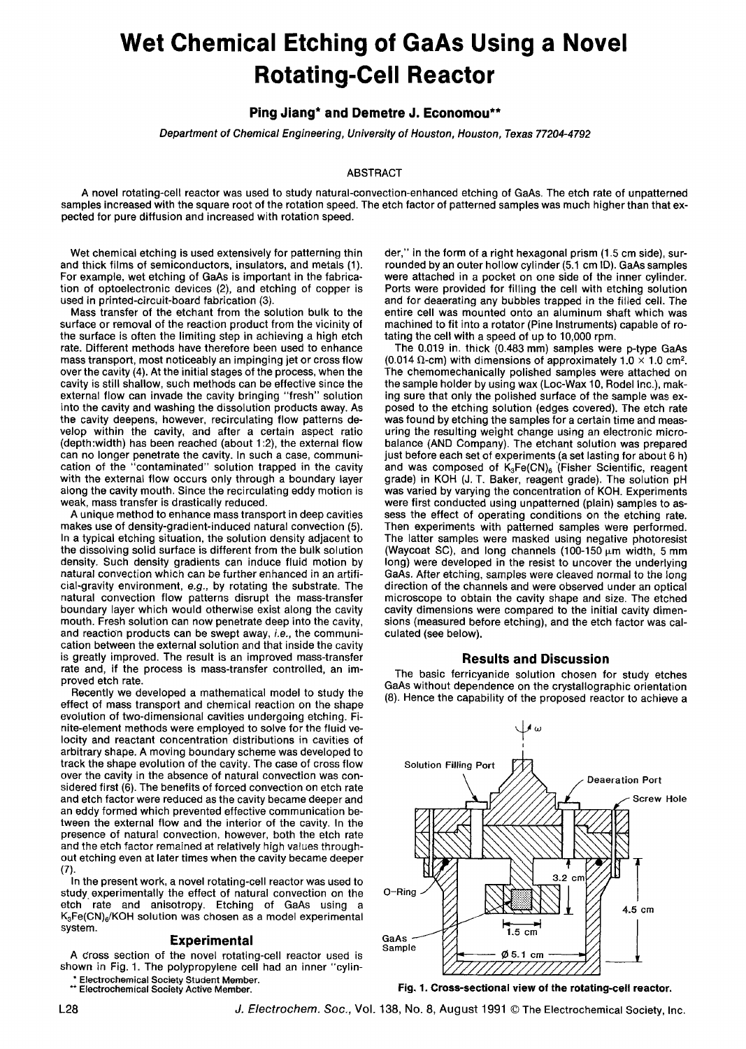# **Wet Chemical Etching of GaAs Using a Novel Rotating-Cell Reactor**

## **Ping Jiang\* and Demetre J. Economou\*\***

*Department of Chemical Engineering, University of Houston, Houston, Texas 77204-4792* 

### ABSTRACT

A novel rotating-cell reactor was used to study natural-convection-enhanced etching of GaAs. The etch rate of unpatterned samples increased with the square root of the rotation speed. The etch factor of patterned samples was much higher than that expected for pure diffusion and increased with rotation speed.

Wet chemical etching is used extensively for patterning thin and thick films of semiconductors, insulators, and metals (1). For example, wet etching of GaAs is important in the fabrication of optoelectronic devices (2), and etching of copper is used in printed-circuit-board fabrication (3).

Mass transfer of the etchant from the solution bulk to the surface or removal of the reaction product from the vicinity of the surface is often the limiting step in achieving a high etch rate. Different methods have therefore been used to enhance mass transport, most noticeably an impinging jet or cross flow over the cavity (4). At the initial stages of the process, when the cavity is still shallow, such methods can be effective since the external flow can invade the cavity bringing "fresh" solution into the cavity and washing the dissolution products away. As the cavity deepens, however, recirculating flow patterns develop within the cavity, and after a certain aspect ratio (depth:width) has been reached (about 1:2), the external flow can no longer penetrate the cavity. In such a case, communication of the "contaminated" solution trapped in the cavity with the external flow occurs only through a boundary layer along the cavity mouth. Since the recirculating eddy motion is weak, mass transfer is drastically reduced.

A unique method to enhance mass transport in deep cavities makes use of density-gradient-induced natural convection (5). In a typical etching situation, the solution density adjacent to the dissolving solid surface is different from the bulk solution density. Such density gradients can induce fluid motion by natural convection which can be further enhanced in an artificial-gravity environment, *e.g.,* by rotating the substrate. The natural convection flow patterns disrupt the mass-transfer boundary layer which would otherwise exist along the cavity mouth. Fresh solution can now penetrate deep into the cavity, and reaction products can be swept away, *i.e.,* the communication between the external solution and that inside the cavity is greatly improved. The result is an improved mass-transfer rate and, if the process is mass-transfer controlled, an improved etch rate.

Recently we developed a mathematical model to study the effect of mass transport and chemical reaction on the shape evolution of two-dimensional cavities undergoing etching. Finite-element methods were employed to solve for the fluid velocity and reactant concentration distributions in cavities of arbitrary shape. A moving boundary scheme was developed to track the shape evolution of the cavity. The case of cross flow over the cavity in the absence of natural convection was considered first (6). The benefits of forced convection on etch rate and etch factor were reduced as the cavity became deeper and an eddy formed which prevented effective communication between the external flow and the interior of the cavity. In the presence of natural convection, however, both the etch rate and the etch factor remained at relatively high values throughout etching even at later times when the cavity became deeper (7).

In the present work, a novel rotating-cell reactor was used to study, experimentally the effect of natural convection on the etch rate and anisotropy. Etching of GaAs using a  $K_3Fe(CN)_{6}/KOH$  solution was chosen as a model experimental system.

#### **Experimental**

A Cross section of the novel rotating-cell reactor used is shown in Fig. 1. The polypropylene cell had an inner "cylin- Electrochemical Society Student Member.

\*\* Electrochemical Society Active Member.

der," in the form of a right hexagonal prism (1.5 cm side), surrounded by an outer hollow cylinder (5.1 cm ID). GaAs samples were attached in a pocket on one side of the inner cylinder. Ports were provided for filling the cell with etching solution and for deaerating any bubbles trapped in the filled cell. The entire cell was mounted onto an aluminum shaft which was machined to fit into a rotator (Pine Instruments) capable of rotating the cell with a speed of up to 10,000 rpm.

The 0.019 in. thick (0.483 mm) samples were p-type GaAs (0.014  $\Omega$ -cm) with dimensions of approximately 1.0  $\times$  1.0 cm<sup>2</sup>. The chemomechanically polished samples were attached on the sample holder by using wax (Loc-Wax 10, Rodel Inc.), making sure that only the polished surface of the sample was exposed to the etching solution (edges covered). The etch rate was found by etching the samples for a certain time and measuring the resulting weight change using an electronic microbalance (AND Company). The etchant solution was prepared just before each set of experiments (a set lasting for about 6 h) and was composed of  $K_3Fe(CN)_6$  (Fisher Scientific, reagent grade) in KOH (J. T. Baker, reagent grade). The solution pH was varied by varying the concentration of KOH. Experiments were first conducted using unpatterned (plain) samples to assess the effect of operating conditions on the etching rate. Then experiments with patterned samples were performed. The latter samples were masked using negative photoresist (Waycoat SC), and long channels (100-150  $\mu$ m width, 5 mm long) were developed in the resist to uncover the underlying GaAs. After etching, samples were cleaved normal to the long direction of the channels and were observed under an optical microscope to obtain the cavity shape and size. The etched cavity dimensions were compared to the initial cavity dimensions (measured before etching), and the etch factor was calculated (see below).

#### **Results and Discussion**

The basic ferricyanide solution chosen for study etches GaAs without dependence on the crystallographic orientation (8). Hence the capability of the proposed reactor to achieve a



Fig. 1. Cross-sectional view of the rotating-cell reactor.